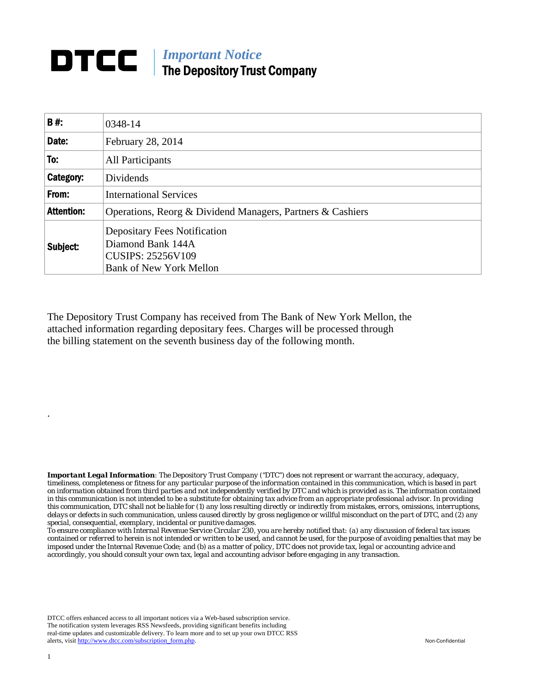## **DTCC** | *Important Notice* The Depository Trust Company

| <b>B#:</b>        | 0348-14                                                                                                                |
|-------------------|------------------------------------------------------------------------------------------------------------------------|
| Date:             | February 28, 2014                                                                                                      |
| To:               | All Participants                                                                                                       |
| Category:         | Dividends                                                                                                              |
| From:             | <b>International Services</b>                                                                                          |
| <b>Attention:</b> | Operations, Reorg & Dividend Managers, Partners & Cashiers                                                             |
| Subject:          | <b>Depositary Fees Notification</b><br>Diamond Bank 144A<br><b>CUSIPS: 25256V109</b><br><b>Bank of New York Mellon</b> |

The Depository Trust Company has received from The Bank of New York Mellon, the attached information regarding depositary fees. Charges will be processed through the billing statement on the seventh business day of the following month.

*Important Legal Information: The Depository Trust Company ("DTC") does not represent or warrant the accuracy, adequacy, timeliness, completeness or fitness for any particular purpose of the information contained in this communication, which is based in part on information obtained from third parties and not independently verified by DTC and which is provided as is. The information contained in this communication is not intended to be a substitute for obtaining tax advice from an appropriate professional advisor. In providing this communication, DTC shall not be liable for (1) any loss resulting directly or indirectly from mistakes, errors, omissions, interruptions, delays or defects in such communication, unless caused directly by gross negligence or willful misconduct on the part of DTC, and (2) any special, consequential, exemplary, incidental or punitive damages.* 

*To ensure compliance with Internal Revenue Service Circular 230, you are hereby notified that: (a) any discussion of federal tax issues contained or referred to herein is not intended or written to be used, and cannot be used, for the purpose of avoiding penalties that may be imposed under the Internal Revenue Code; and (b) as a matter of policy, DTC does not provide tax, legal or accounting advice and accordingly, you should consult your own tax, legal and accounting advisor before engaging in any transaction.*

DTCC offers enhanced access to all important notices via a Web-based subscription service. The notification system leverages RSS Newsfeeds, providing significant benefits including real-time updates and customizable delivery. To learn more and to set up your own DTCC RSS alerts, visit http://www.dtcc.com/subscription\_form.php. Non-Confidential

.